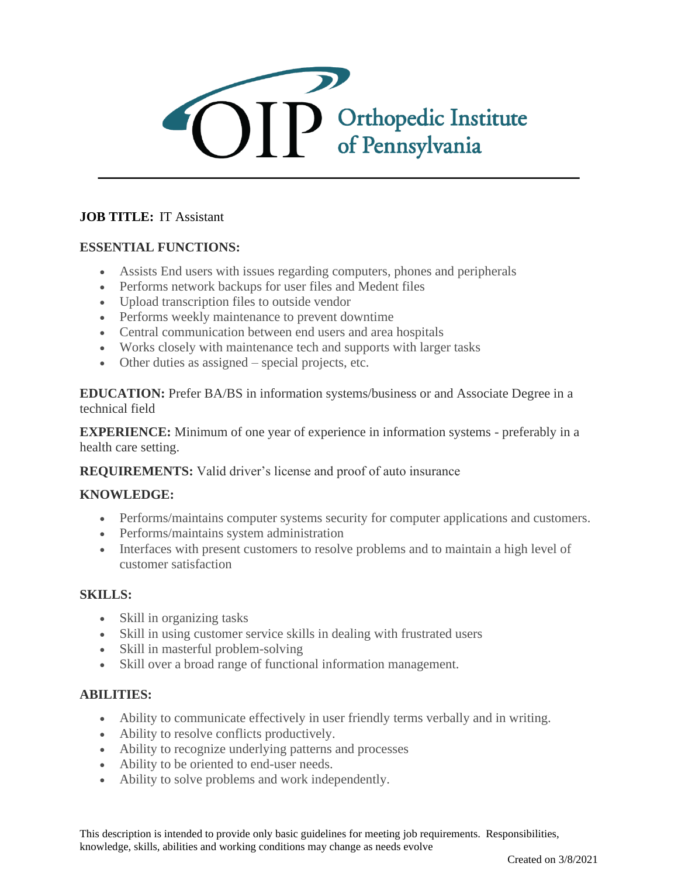

# **JOB TITLE:** IT Assistant

## **ESSENTIAL FUNCTIONS:**

- Assists End users with issues regarding computers, phones and peripherals
- Performs network backups for user files and Medent files
- Upload transcription files to outside vendor
- Performs weekly maintenance to prevent downtime
- Central communication between end users and area hospitals
- Works closely with maintenance tech and supports with larger tasks
- Other duties as assigned special projects, etc.

**EDUCATION:** Prefer BA/BS in information systems/business or and Associate Degree in a technical field

**EXPERIENCE:** Minimum of one year of experience in information systems - preferably in a health care setting.

### **REQUIREMENTS:** Valid driver's license and proof of auto insurance

### **KNOWLEDGE:**

- Performs/maintains computer systems security for computer applications and customers.
- Performs/maintains system administration
- Interfaces with present customers to resolve problems and to maintain a high level of customer satisfaction

### **SKILLS:**

- Skill in organizing tasks
- Skill in using customer service skills in dealing with frustrated users
- Skill in masterful problem-solving
- Skill over a broad range of functional information management.

## **ABILITIES:**

- Ability to communicate effectively in user friendly terms verbally and in writing.
- Ability to resolve conflicts productively.
- Ability to recognize underlying patterns and processes
- Ability to be oriented to end-user needs.
- Ability to solve problems and work independently.